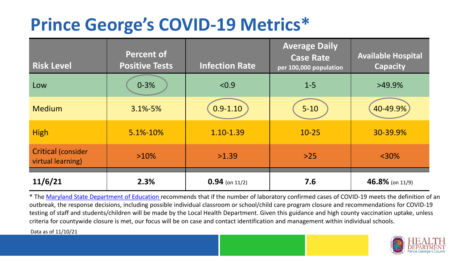## **Prince George's COVID-19 Metrics\***

| <b>Risk Level</b>                       | <b>Percent of</b><br><b>Positive Tests</b> | <b>Infection Rate</b> | <b>Average Daily</b><br><b>Case Rate</b><br>per 100,000 population | <b>Available Hospital</b><br><b>Capacity</b> |
|-----------------------------------------|--------------------------------------------|-----------------------|--------------------------------------------------------------------|----------------------------------------------|
| Low                                     | $0 - 3%$                                   | < 0.9                 | $1 - 5$                                                            | $>49.9\%$                                    |
| <b>Medium</b>                           | $3.1\% - 5\%$                              | $0.9 - 1.10$          | $5 - 10$                                                           | 40-49.9%                                     |
| <b>High</b>                             | 5.1%-10%                                   | 1.10-1.39             | $10 - 25$                                                          | 30-39.9%                                     |
| Critical (consider<br>virtual learning) | $>10\%$                                    | >1.39                 | $>25$                                                              | $<$ 30%                                      |
| 11/6/21                                 | 2.3%                                       | $0.94$ (on 11/2)      | 7.6                                                                | 46.8% (on 11/9)                              |

\* The [Maryland State Department of Education r](https://earlychildhood.marylandpublicschools.org/system/files/filedepot/3/covid_guidance_full_080420.pdf)ecommends that if the number of laboratory confirmed cases of COVID-19 meets the definition of an outbreak, the response decisions, including possible individual classroom or school/child care program closure and recommendations for COVID-19 testing of staff and students/children will be made by the Local Health Department. Given this guidance and high county vaccination uptake, unless criteria for countywide closure is met, our focus will be on case and contact identification and management within individual schools.

Data as of 11/10/21

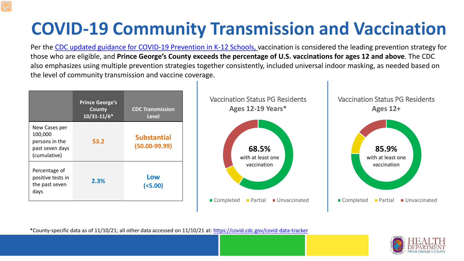# **COVID-19 Community Transmission and Vaccination**

Per the [CDC updated guidance for COVID-19 Prevention in K-12 Schools,](https://www.cdc.gov/coronavirus/2019-ncov/community/schools-childcare/k-12-guidance.html) vaccination is considered the leading prevention strategy for those who are eligible, and **Prince George's County exceeds the percentage of U.S. vaccinations for ages 12 and above**. The CDC also emphasizes using multiple prevention strategies together consistently, included universal indoor masking, as needed based on the level of community transmission and vaccine coverage.



\*County-specific data as of 11/10/21; all other data accessed on 11/10/21 at:<https://covid.cdc.gov/covid-data-tracker>

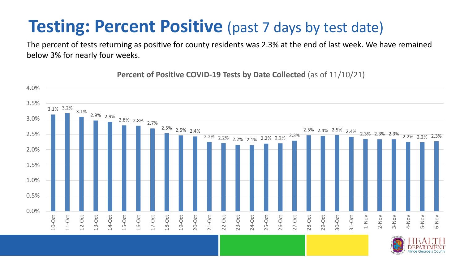#### **Testing: Percent Positive** (past 7 days by test date)

The percent of tests returning as positive for county residents was 2.3% at the end of last week. We have remained below 3% for nearly four weeks.

3.1% 3.2% 3.1% 2.9% 2.9% 2.8% 2.8% 2.7% 2.5% 2.5% 2.4% 2.2% 2.2% 2.2% 2.1% 2.2% 2.2% 2.3% 2.5% 2.4% 2.5% 2.4% 2.3% 2.3% 2.3% 2.2% 2.2% 2.3% 0.0% 0.5% 1.0% 1.5% 2.0% 2.5% 3.0% 3.5% 4.0% 10-Oct 11-Oct 12-Oct 13-Oct 14-Oct 15-Oct 16-Oct 17-Oct 18-Oct 19-Oct 20-Oct 21-Oct 22-Oct 23-Oct 24-Oct 25-Oct 26-Oct 27-Oct 28-Oct 29-Oct 30-Oct 31-Oct 1-Nov 2-Nov 3-Nov 4-Nov 5-Nov 6-Nov

#### **Percent of Positive COVID-19 Tests by Date Collected** (as of 11/10/21)

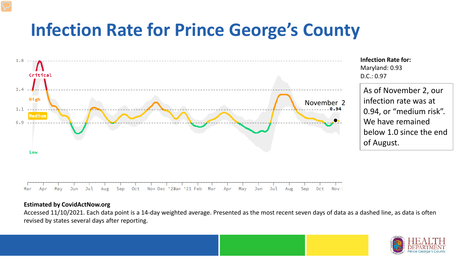### **Infection Rate for Prince George's County**



**Infection Rate for:**  Maryland: 0.93 D.C.: 0.97

As of November 2, our infection rate was at 0.94, or "medium risk". We have remained below 1.0 since the end of August.

#### **Estimated by CovidActNow.org**

Accessed 11/10/2021. Each data point is a 14-day weighted average. Presented as the most recent seven days of data as a dashed line, as data is often revised by states several days after reporting.

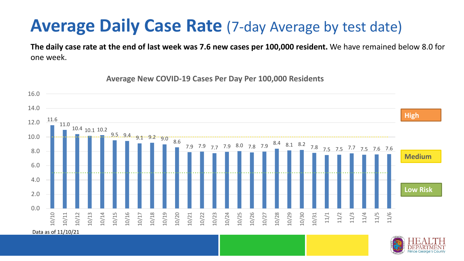#### **Average Daily Case Rate** (7-day Average by test date)

**The daily case rate at the end of last week was 7.6 new cases per 100,000 resident.** We have remained below 8.0 for one week.

11.6 11.0 10.4 10.1 10.2  $9.5...9.4...9.1...9.2...9.0...$ 7.9 7.9 7.7 7.9 8.0 7.8 7.9 8.4 8.1 8.2 7.8 7.5 7.5 7.7 7.5 7.6 7.6 0.0 2.0 4.0 6.0 8.0 10.0 12.0 14.0 16.0 10/10 10/11 10/12 10/13 10/14 10/15 10/16 10/17 10/18 10/19 10/20 10/21 10/22 10/23 10/24 10/25 10/26 10/27 10/28 10/29 10/30 10/31 11/1 11/2 11/3 11/4 11/5 11/6 **Low Risk**  Data as of 11/10/21 **Medium High**

**Average New COVID-19 Cases Per Day Per 100,000 Residents**